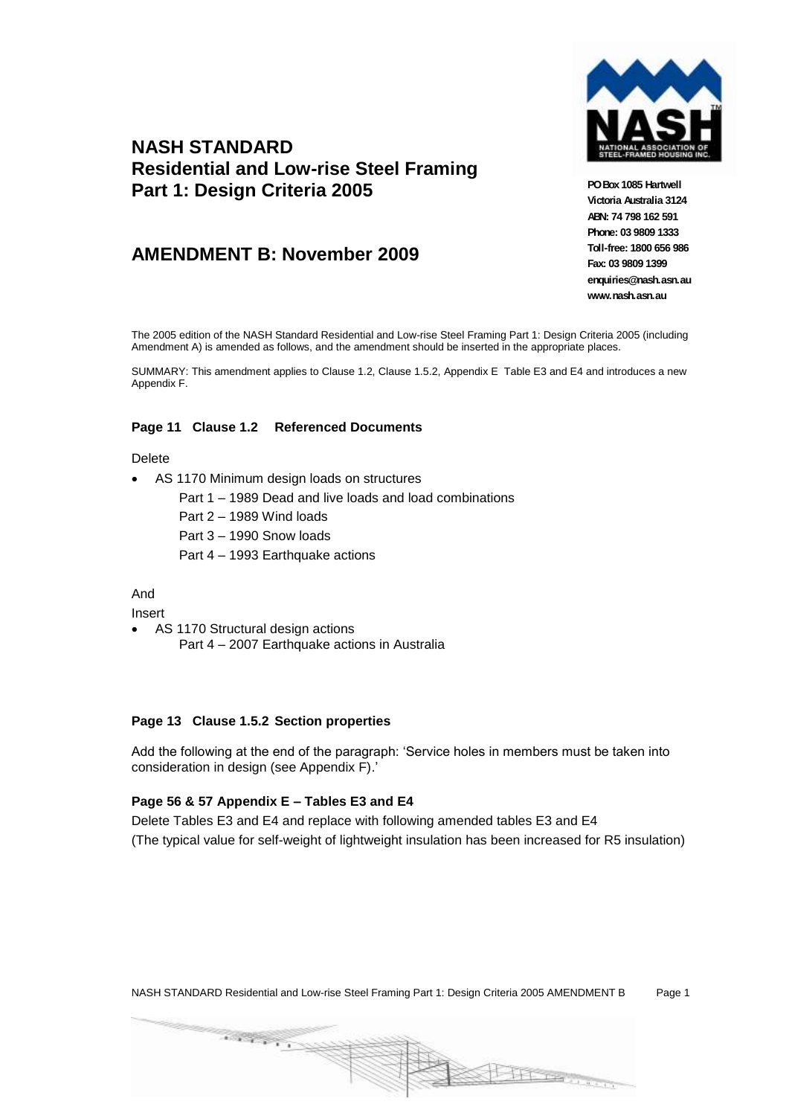

## **NASH STANDARD Residential and Low-rise Steel Framing Part 1: Design Criteria 2005**

### **AMENDMENT B: November 2009**

**PO Box 1085 Hartwell Victoria Australia 3124 ABN: 74 798 162 591 Phone: 03 9809 1333 Toll-free: 1800 656 986 Fax: 03 9809 1399 enquiries@nash.asn.au www.nash.asn.au**

The 2005 edition of the NASH Standard Residential and Low-rise Steel Framing Part 1: Design Criteria 2005 (including Amendment A) is amended as follows, and the amendment should be inserted in the appropriate places.

SUMMARY: This amendment applies to Clause 1.2, Clause 1.5.2, Appendix E Table E3 and E4 and introduces a new Appendix F.

#### **Page 11 Clause 1.2 Referenced Documents**

#### Delete

- AS 1170 Minimum design loads on structures
	- Part 1 1989 Dead and live loads and load combinations
	- Part 2 1989 Wind loads
	- Part 3 1990 Snow loads
	- Part 4 1993 Earthquake actions

#### And

Insert

 AS 1170 Structural design actions Part 4 – 2007 Earthquake actions in Australia

#### **Page 13 Clause 1.5.2 Section properties**

Add the following at the end of the paragraph: 'Service holes in members must be taken into consideration in design (see Appendix F).'

#### **Page 56 & 57 Appendix E – Tables E3 and E4**

Delete Tables E3 and E4 and replace with following amended tables E3 and E4 (The typical value for self-weight of lightweight insulation has been increased for R5 insulation)



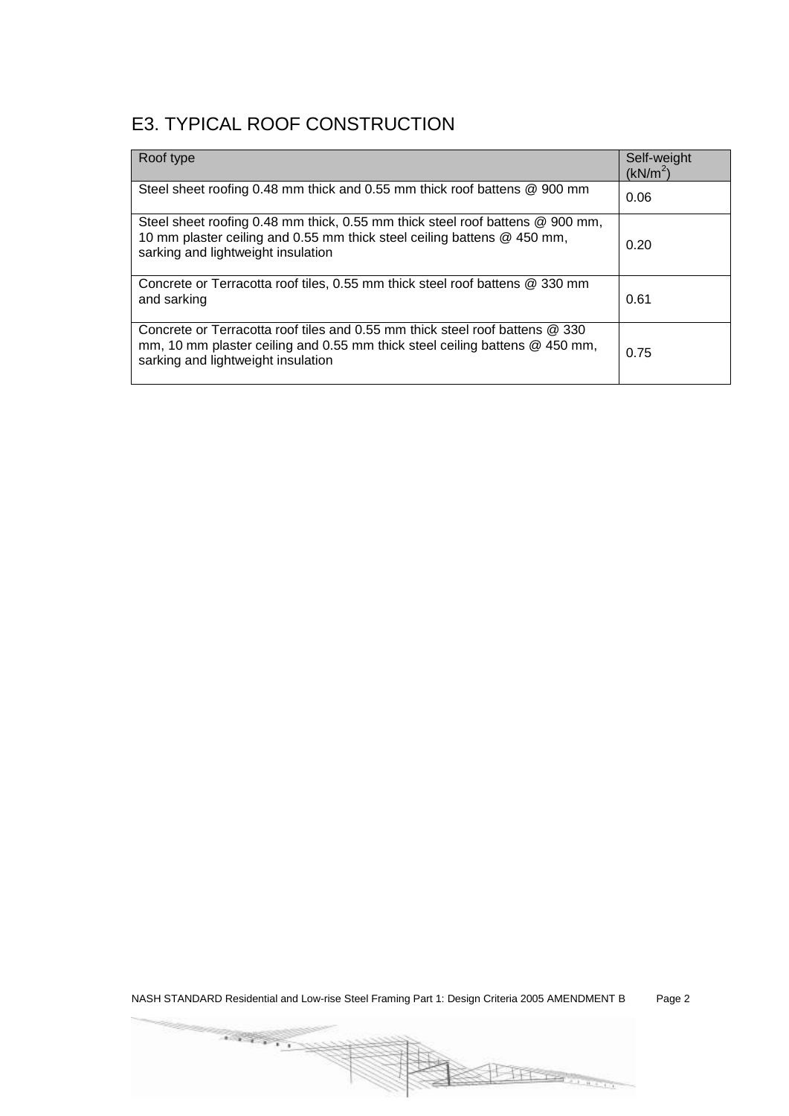## E3. TYPICAL ROOF CONSTRUCTION

| Roof type                                                                                                                                                                                         | Self-weight<br>(kN/m <sup>2</sup> ) |
|---------------------------------------------------------------------------------------------------------------------------------------------------------------------------------------------------|-------------------------------------|
| Steel sheet roofing 0.48 mm thick and 0.55 mm thick roof battens @ 900 mm                                                                                                                         | 0.06                                |
| Steel sheet roofing 0.48 mm thick, 0.55 mm thick steel roof battens @ 900 mm,<br>10 mm plaster ceiling and 0.55 mm thick steel ceiling battens @ 450 mm,<br>sarking and lightweight insulation    | 0.20                                |
| Concrete or Terracotta roof tiles, 0.55 mm thick steel roof battens @ 330 mm<br>and sarking                                                                                                       | 0.61                                |
| Concrete or Terracotta roof tiles and 0.55 mm thick steel roof battens @ 330<br>mm, 10 mm plaster ceiling and 0.55 mm thick steel ceiling battens @ 450 mm,<br>sarking and lightweight insulation | 0.75                                |

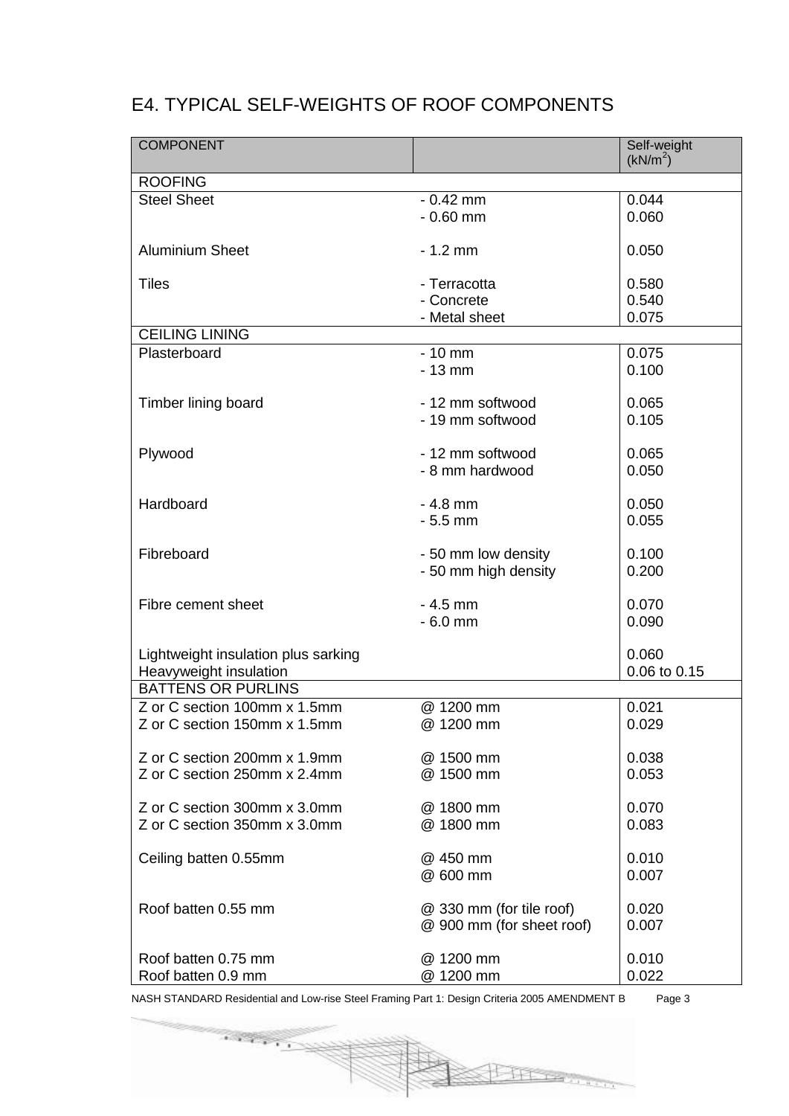## E4. TYPICAL SELF-WEIGHTS OF ROOF COMPONENTS

| <b>COMPONENT</b>                    |                           | Self-weight<br>(kN/m <sup>2</sup> ) |
|-------------------------------------|---------------------------|-------------------------------------|
| <b>ROOFING</b>                      |                           |                                     |
| <b>Steel Sheet</b>                  | $-0.42$ mm                | 0.044                               |
|                                     | $-0.60$ mm                | 0.060                               |
|                                     |                           |                                     |
| <b>Aluminium Sheet</b>              | $-1.2$ mm                 | 0.050                               |
|                                     |                           |                                     |
| <b>Tiles</b>                        | - Terracotta              | 0.580                               |
|                                     | - Concrete                | 0.540                               |
|                                     | - Metal sheet             | 0.075                               |
| <b>CEILING LINING</b>               |                           |                                     |
| Plasterboard                        | $-10$ mm                  | 0.075                               |
|                                     | $-13$ mm                  | 0.100                               |
|                                     |                           |                                     |
| Timber lining board                 | - 12 mm softwood          | 0.065                               |
|                                     | - 19 mm softwood          | 0.105                               |
|                                     |                           |                                     |
| Plywood                             | - 12 mm softwood          | 0.065                               |
|                                     | - 8 mm hardwood           | 0.050                               |
| Hardboard                           | $-4.8$ mm                 | 0.050                               |
|                                     | $-5.5$ mm                 | 0.055                               |
|                                     |                           |                                     |
| Fibreboard                          | - 50 mm low density       | 0.100                               |
|                                     | - 50 mm high density      | 0.200                               |
|                                     |                           |                                     |
| Fibre cement sheet                  | $-4.5$ mm                 | 0.070                               |
|                                     | $-6.0$ mm                 | 0.090                               |
|                                     |                           |                                     |
| Lightweight insulation plus sarking |                           | 0.060                               |
| Heavyweight insulation              |                           | 0.06 to 0.15                        |
| <b>BATTENS OR PURLINS</b>           |                           |                                     |
| Z or C section 100mm x 1.5mm        | @ 1200 mm                 | 0.021                               |
| Z or C section 150mm x 1.5mm        | @ 1200 mm                 | 0.029                               |
|                                     |                           |                                     |
| Z or C section 200mm x 1.9mm        | @ 1500 mm                 | 0.038                               |
| Z or C section 250mm x 2.4mm        | @ 1500 mm                 | 0.053                               |
|                                     |                           |                                     |
| Z or C section 300mm x 3.0mm        | @ 1800 mm                 | 0.070                               |
| Z or C section 350mm x 3.0mm        | @ 1800 mm                 | 0.083                               |
|                                     | @ 450 mm                  | 0.010                               |
| Ceiling batten 0.55mm               | @ 600 mm                  | 0.007                               |
|                                     |                           |                                     |
| Roof batten 0.55 mm                 | @ 330 mm (for tile roof)  | 0.020                               |
|                                     | @ 900 mm (for sheet roof) | 0.007                               |
|                                     |                           |                                     |
| Roof batten 0.75 mm                 | @ 1200 mm                 | 0.010                               |
| Roof batten 0.9 mm                  | @ 1200 mm                 | 0.022                               |
|                                     |                           |                                     |

NASH STANDARD Residential and Low-rise Steel Framing Part 1: Design Criteria 2005 AMENDMENT B Page 3

 $\overline{\mathcal{L}(\mathcal{L}_1)}$ 

**BITCHELL**